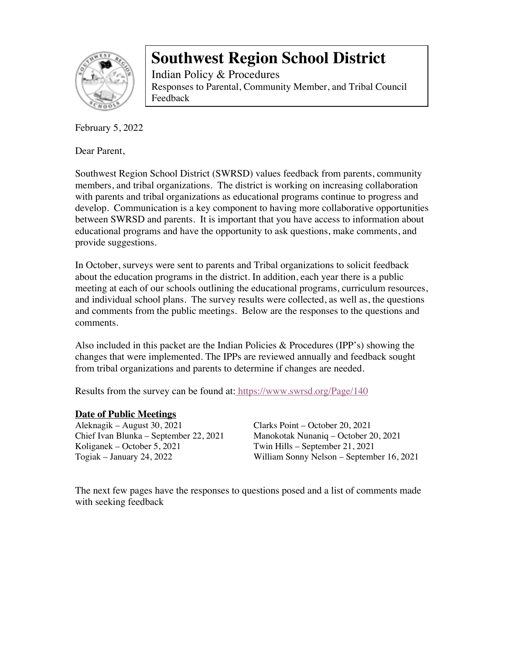

Indian Policy & Procedures Responses to Parental, Community Member, and Tribal Council Feedback

February 5, 2022

Dear Parent,

Southwest Region School District (SWRSD) values feedback from parents, community members, and tribal organizations. The district is working on increasing collaboration with parents and tribal organizations as educational programs continue to progress and develop. Communication is a key component to having more collaborative opportunities between SWRSD and parents. It is important that you have access to information about educational programs and have the opportunity to ask questions, make comments, and provide suggestions.

In October, surveys were sent to parents and Tribal organizations to solicit feedback about the education programs in the district. In addition, each year there is a public meeting at each of our schools outlining the educational programs, curriculum resources, and individual school plans. The survey results were collected, as well as, the questions and comments from the public meetings. Below are the responses to the questions and comments.

Also included in this packet are the Indian Policies & Procedures (IPP's) showing the changes that were implemented. The IPPs are reviewed annually and feedback sought from tribal organizations and parents to determine if changes are needed.

Results from the survey can be found at: https://www.swrsd.org/Page/140

#### **Date of Public Meetings**

Aleknagik – August 30, 2021 Clarks Point – October 20, 2021

Chief Ivan Blunka – September 22, 2021 Manokotak Nunaniq – October 20, 2021 Twin Hills – September 21, 2021 Togiak – January 24, 2022 William Sonny Nelson – September 16, 2021

The next few pages have the responses to questions posed and a list of comments made with seeking feedback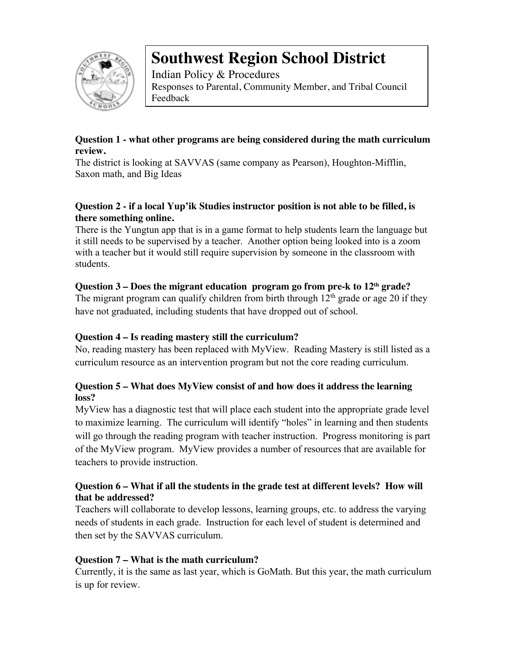

Indian Policy & Procedures Responses to Parental, Community Member, and Tribal Council Feedback

## **Question 1 - what other programs are being considered during the math curriculum review.**

The district is looking at SAVVAS (same company as Pearson), Houghton-Mifflin, Saxon math, and Big Ideas

## **Question 2 - if a local Yup'ik Studies instructor position is not able to be filled, is there something online.**

There is the Yungtun app that is in a game format to help students learn the language but it still needs to be supervised by a teacher. Another option being looked into is a zoom with a teacher but it would still require supervision by someone in the classroom with students.

# **Question 3 – Does the migrant education program go from pre-k to 12th grade?**

The migrant program can qualify children from birth through  $12<sup>th</sup>$  grade or age 20 if they have not graduated, including students that have dropped out of school.

# **Question 4 – Is reading mastery still the curriculum?**

No, reading mastery has been replaced with MyView. Reading Mastery is still listed as a curriculum resource as an intervention program but not the core reading curriculum.

## **Question 5 – What does MyView consist of and how does it address the learning loss?**

MyView has a diagnostic test that will place each student into the appropriate grade level to maximize learning. The curriculum will identify "holes" in learning and then students will go through the reading program with teacher instruction. Progress monitoring is part of the MyView program. MyView provides a number of resources that are available for teachers to provide instruction.

## **Question 6 – What if all the students in the grade test at different levels? How will that be addressed?**

Teachers will collaborate to develop lessons, learning groups, etc. to address the varying needs of students in each grade. Instruction for each level of student is determined and then set by the SAVVAS curriculum.

# **Question 7 – What is the math curriculum?**

Currently, it is the same as last year, which is GoMath. But this year, the math curriculum is up for review.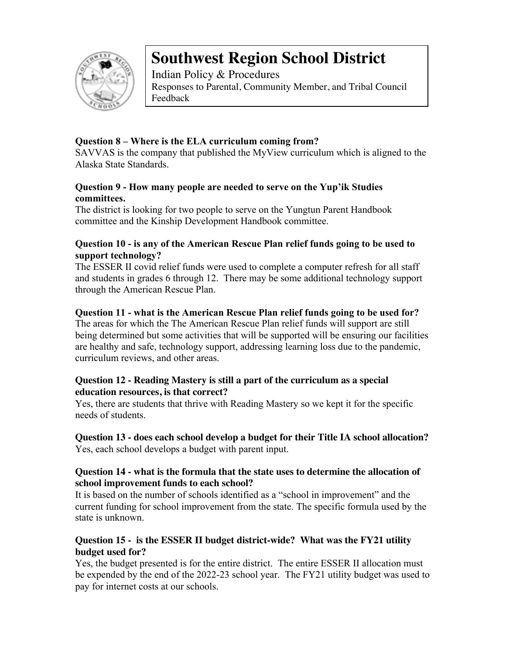

Indian Policy & Procedures Responses to Parental, Community Member, and Tribal Council Feedback

## **Question 8 – Where is the ELA curriculum coming from?**

SAVVAS is the company that published the MyView curriculum which is aligned to the Alaska State Standards.

#### **Question 9 - How many people are needed to serve on the Yup'ik Studies committees.**

The district is looking for two people to serve on the Yungtun Parent Handbook committee and the Kinship Development Handbook committee.

#### **Question 10 - is any of the American Rescue Plan relief funds going to be used to support technology?**

The ESSER II covid relief funds were used to complete a computer refresh for all staff and students in grades 6 through 12. There may be some additional technology support through the American Rescue Plan.

#### **Question 11 - what is the American Rescue Plan relief funds going to be used for?**

The areas for which the The American Rescue Plan relief funds will support are still being determined but some activities that will be supported will be ensuring our facilities are healthy and safe, technology support, addressing learning loss due to the pandemic, curriculum reviews, and other areas.

#### **Question 12 - Reading Mastery is still a part of the curriculum as a special education resources, is that correct?**

Yes, there are students that thrive with Reading Mastery so we kept it for the specific needs of students.

## **Question 13 - does each school develop a budget for their Title IA school allocation?** Yes, each school develops a budget with parent input.

#### **Question 14 - what is the formula that the state uses to determine the allocation of school improvement funds to each school?**

It is based on the number of schools identified as a "school in improvement" and the current funding for school improvement from the state. The specific formula used by the state is unknown.

## **Question 15 - is the ESSER II budget district-wide? What was the FY21 utility budget used for?**

Yes, the budget presented is for the entire district. The entire ESSER II allocation must be expended by the end of the 2022-23 school year. The FY21 utility budget was used to pay for internet costs at our schools.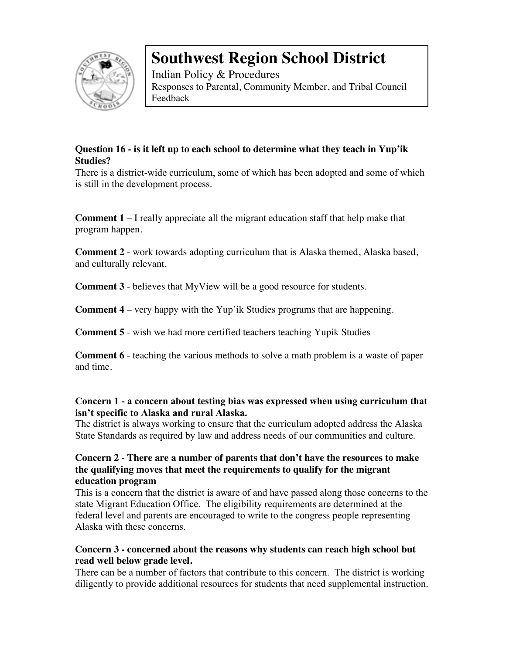

Indian Policy & Procedures Responses to Parental, Community Member, and Tribal Council Feedback

# **Question 16 - is it left up to each school to determine what they teach in Yup'ik Studies?**

There is a district-wide curriculum, some of which has been adopted and some of which is still in the development process.

**Comment 1** – I really appreciate all the migrant education staff that help make that program happen.

**Comment 2** - work towards adopting curriculum that is Alaska themed, Alaska based, and culturally relevant.

**Comment 3** - believes that MyView will be a good resource for students.

**Comment 4** – very happy with the Yup'ik Studies programs that are happening.

**Comment 5** - wish we had more certified teachers teaching Yupik Studies

**Comment 6** - teaching the various methods to solve a math problem is a waste of paper and time.

#### **Concern 1 - a concern about testing bias was expressed when using curriculum that isn't specific to Alaska and rural Alaska.**

The district is always working to ensure that the curriculum adopted address the Alaska State Standards as required by law and address needs of our communities and culture.

#### **Concern 2 - There are a number of parents that don't have the resources to make the qualifying moves that meet the requirements to qualify for the migrant education program**

This is a concern that the district is aware of and have passed along those concerns to the state Migrant Education Office. The eligibility requirements are determined at the federal level and parents are encouraged to write to the congress people representing Alaska with these concerns.

## **Concern 3 - concerned about the reasons why students can reach high school but read well below grade level.**

There can be a number of factors that contribute to this concern. The district is working diligently to provide additional resources for students that need supplemental instruction.